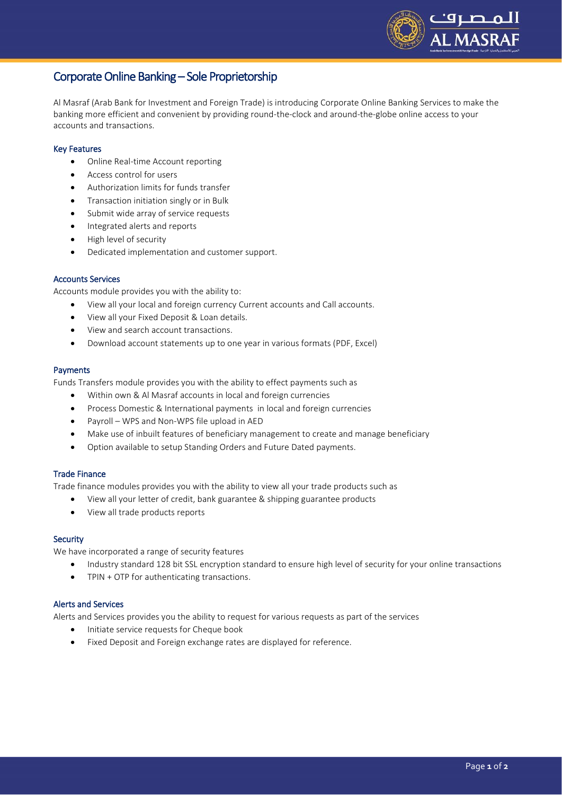

# Corporate Online Banking – Sole Proprietorship

Al Masraf (Arab Bank for Investment and Foreign Trade) is introducing Corporate Online Banking Services to make the banking more efficient and convenient by providing round-the-clock and around-the-globe online access to your accounts and transactions.

# Key Features

- Online Real-time Account reporting
- Access control for users
- Authorization limits for funds transfer
- **•** Transaction initiation singly or in Bulk
- Submit wide array of service requests
- Integrated alerts and reports
- High level of security
- Dedicated implementation and customer support.

# Accounts Services

Accounts module provides you with the ability to:

- View all your local and foreign currency Current accounts and Call accounts.
- View all your Fixed Deposit & Loan details.
- View and search account transactions.
- Download account statements up to one year in various formats (PDF, Excel)

# Payments

Funds Transfers module provides you with the ability to effect payments such as

- Within own & Al Masraf accounts in local and foreign currencies
- Process Domestic & International payments in local and foreign currencies
- Payroll WPS and Non-WPS file upload in AED
- Make use of inbuilt features of beneficiary management to create and manage beneficiary
- Option available to setup Standing Orders and Future Dated payments.

# Trade Finance

Trade finance modules provides you with the ability to view all your trade products such as

- View all your letter of credit, bank guarantee & shipping guarantee products
- View all trade products reports

# **Security**

We have incorporated a range of security features

- Industry standard 128 bit SSL encryption standard to ensure high level of security for your online transactions
- TPIN + OTP for authenticating transactions.

# Alerts and Services

Alerts and Services provides you the ability to request for various requests as part of the services

- Initiate service requests for Cheque book
- Fixed Deposit and Foreign exchange rates are displayed for reference.